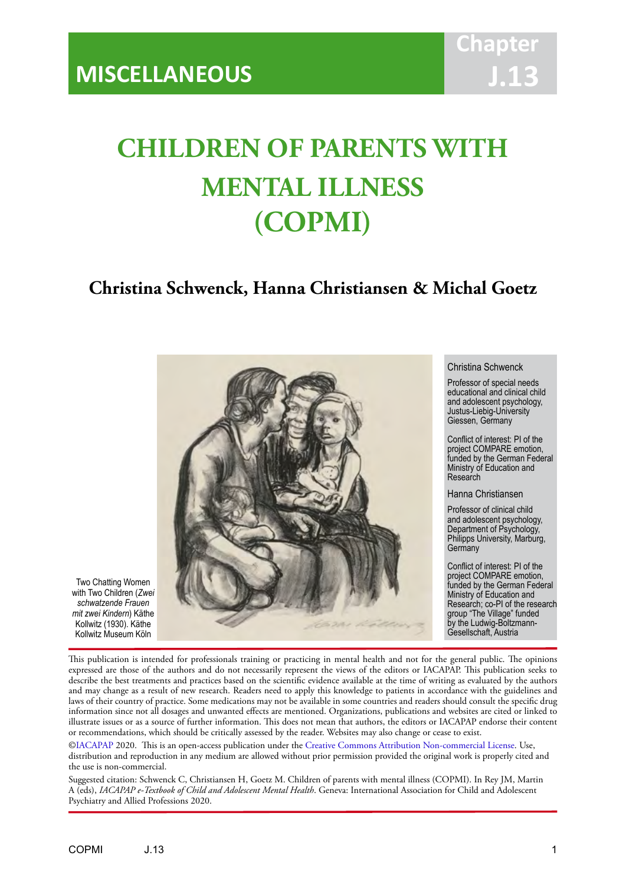# **CHILDREN OF PARENTS WITH MENTAL ILLNESS (COPMI)**

IACAPAP Textbook of Child and Adolescent Mental Health

# **Christina Schwenck, Hanna Christiansen & Michal Goetz**



Two Chatting Women with Two Children (*Zwei schwatzende Frauen mit zwei Kindern*) Käthe Kollwitz (1930). Käthe Kollwitz Museum Köln

This publication is intended for professionals training or practicing in mental health and not for the general public. The opinions expressed are those of the authors and do not necessarily represent the views of the editors or IACAPAP. This publication seeks to describe the best treatments and practices based on the scientific evidence available at the time of writing as evaluated by the authors and may change as a result of new research. Readers need to apply this knowledge to patients in accordance with the guidelines and laws of their country of practice. Some medications may not be available in some countries and readers should consult the specific drug information since not all dosages and unwanted effects are mentioned. Organizations, publications and websites are cited or linked to illustrate issues or as a source of further information. This does not mean that authors, the editors or IACAPAP endorse their content or recommendations, which should be critically assessed by the reader. Websites may also change or cease to exist.

[©IACAPAP](http://iacapap.org/) 2020. This is an open-access publication under the [Creative Commons Attribution Non-commercial License](http://creativecommons.org/licenses/by-nc/2.0/). Use, distribution and reproduction in any medium are allowed without prior permission provided the original work is properly cited and the use is non-commercial.

Suggested citation: Schwenck C, Christiansen H, Goetz M. Children of parents with mental illness (COPMI). In Rey JM, Martin A (eds), *IACAPAP e-Textbook of Child and Adolescent Mental Health*. Geneva: International Association for Child and Adolescent Psychiatry and Allied Professions 2020.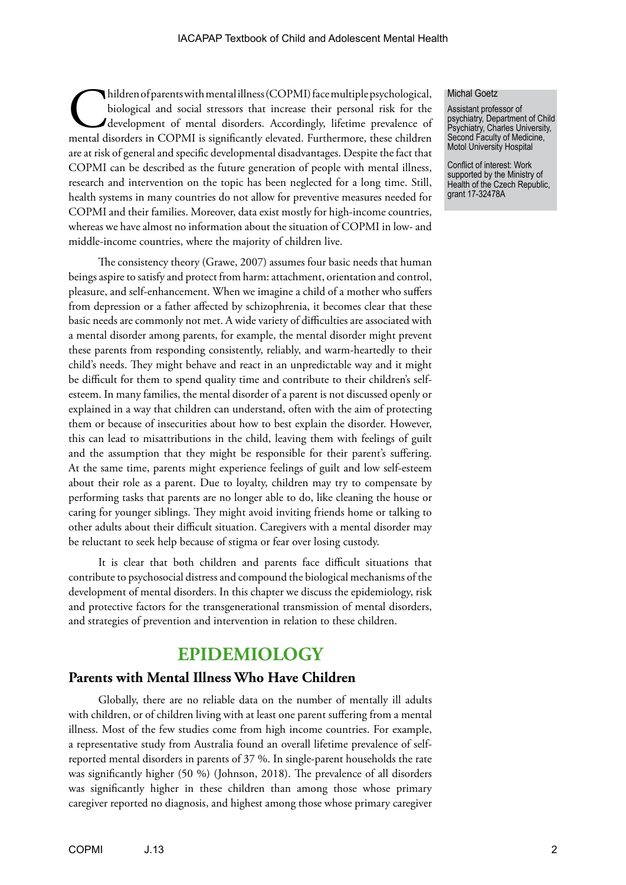hildren of parents with mental illness (COPMI) face multiple psychological, biological and social stressors that increase their personal risk for the development of mental disorders. Accordingly, lifetime prevalence of men biological and social stressors that increase their personal risk for the development of mental disorders. Accordingly, lifetime prevalence of mental disorders in COPMI is significantly elevated. Furthermore, these children are at risk of general and specific developmental disadvantages. Despite the fact that COPMI can be described as the future generation of people with mental illness, research and intervention on the topic has been neglected for a long time. Still, health systems in many countries do not allow for preventive measures needed for COPMI and their families. Moreover, data exist mostly for high-income countries, whereas we have almost no information about the situation of COPMI in low- and middle-income countries, where the majority of children live.

The consistency theory (Grawe, 2007) assumes four basic needs that human beings aspire to satisfy and protect from harm: attachment, orientation and control, pleasure, and self-enhancement. When we imagine a child of a mother who suffers from depression or a father affected by schizophrenia, it becomes clear that these basic needs are commonly not met. A wide variety of difficulties are associated with a mental disorder among parents, for example, the mental disorder might prevent these parents from responding consistently, reliably, and warm-heartedly to their child's needs. They might behave and react in an unpredictable way and it might be difficult for them to spend quality time and contribute to their children's selfesteem. In many families, the mental disorder of a parent is not discussed openly or explained in a way that children can understand, often with the aim of protecting them or because of insecurities about how to best explain the disorder. However, this can lead to misattributions in the child, leaving them with feelings of guilt and the assumption that they might be responsible for their parent's suffering. At the same time, parents might experience feelings of guilt and low self-esteem about their role as a parent. Due to loyalty, children may try to compensate by performing tasks that parents are no longer able to do, like cleaning the house or caring for younger siblings. They might avoid inviting friends home or talking to other adults about their difficult situation. Caregivers with a mental disorder may be reluctant to seek help because of stigma or fear over losing custody.

It is clear that both children and parents face difficult situations that contribute to psychosocial distress and compound the biological mechanisms of the development of mental disorders. In this chapter we discuss the epidemiology, risk and protective factors for the transgenerational transmission of mental disorders, and strategies of prevention and intervention in relation to these children.

# **EPIDEMIOLOGY**

#### **Parents with Mental Illness Who Have Children**

Globally, there are no reliable data on the number of mentally ill adults with children, or of children living with at least one parent suffering from a mental illness. Most of the few studies come from high income countries. For example, a representative study from Australia found an overall lifetime prevalence of selfreported mental disorders in parents of 37 %. In single-parent households the rate was significantly higher (50 %) (Johnson, 2018). The prevalence of all disorders was significantly higher in these children than among those whose primary caregiver reported no diagnosis, and highest among those whose primary caregiver

#### Michal Goetz

Assistant professor of psychiatry, Department of Child Psychiatry, Charles University, Second Faculty of Medicine, Motol University Hospital

Conflict of interest: Work supported by the Ministry of Health of the Czech Republic, grant 17-32478A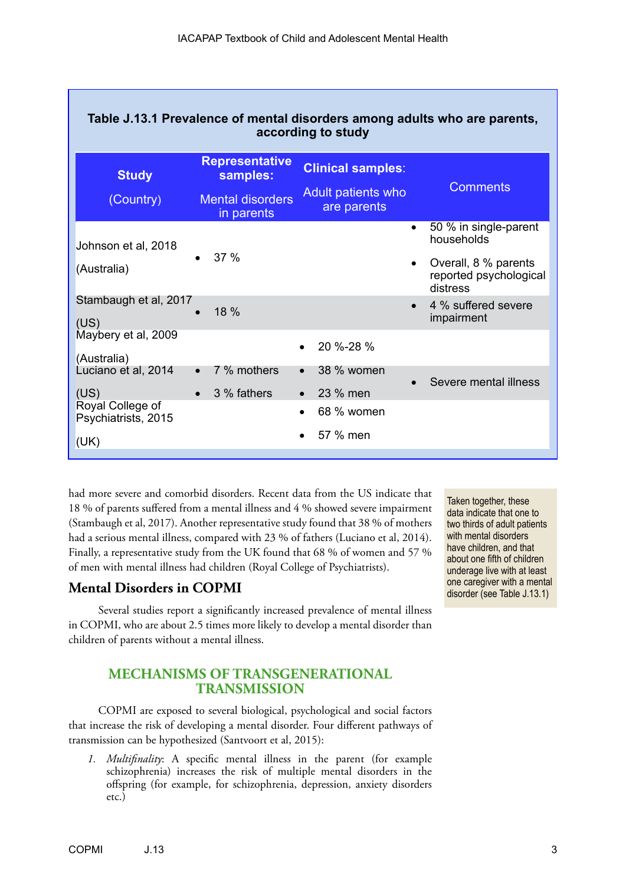| Table J.13.1 Prevalence of mental disorders among adults who are parents,<br>according to study |                                       |                                   |                                                            |
|-------------------------------------------------------------------------------------------------|---------------------------------------|-----------------------------------|------------------------------------------------------------|
| <b>Study</b>                                                                                    | <b>Representative</b><br>samples:     | <b>Clinical samples:</b>          |                                                            |
| (Country)                                                                                       | <b>Mental disorders</b><br>in parents | Adult patients who<br>are parents | <b>Comments</b>                                            |
| Johnson et al, 2018                                                                             |                                       |                                   | 50 % in single-parent<br>$\bullet$<br>households           |
| (Australia)                                                                                     | 37 %                                  |                                   | Overall, 8 % parents<br>reported psychological<br>distress |
| Stambaugh et al, 2017<br>(US)                                                                   | 18 %                                  |                                   | 4 % suffered severe<br>impairment                          |
| Maybery et al, 2009<br>(Australia)                                                              |                                       | 20 %-28 %                         |                                                            |
| Luciano et al, 2014                                                                             | 7 % mothers<br>$\bullet$              | 38 % women<br>$\bullet$           | Severe mental illness                                      |
| (US)                                                                                            | 3 % fathers<br>$\bullet$              | 23 % men                          |                                                            |
| Royal College of<br>Psychiatrists, 2015                                                         |                                       | 68 % women<br>$\bullet$           |                                                            |
| (UK)                                                                                            |                                       | 57 % men                          |                                                            |

had more severe and comorbid disorders. Recent data from the US indicate that 18 % of parents suffered from a mental illness and 4 % showed severe impairment (Stambaugh et al, 2017). Another representative study found that 38 % of mothers had a serious mental illness, compared with 23 % of fathers (Luciano et al, 2014). Finally, a representative study from the UK found that 68 % of women and 57 % of men with mental illness had children (Royal College of Psychiatrists).

# **Mental Disorders in COPMI**

Several studies report a significantly increased prevalence of mental illness in COPMI, who are about 2.5 times more likely to develop a mental disorder than children of parents without a mental illness.

# **MECHANISMS OF TRANSGENERATIONAL TRANSMISSION**

COPMI are exposed to several biological, psychological and social factors that increase the risk of developing a mental disorder. Four different pathways of transmission can be hypothesized (Santvoort et al, 2015):

*1. Multifinality*: A specific mental illness in the parent (for example schizophrenia) increases the risk of multiple mental disorders in the offspring (for example, for schizophrenia, depression, anxiety disorders etc.)

Taken together, these data indicate that one to two thirds of adult patients with mental disorders have children, and that about one fifth of children underage live with at least one caregiver with a mental disorder (see Table J.13.1)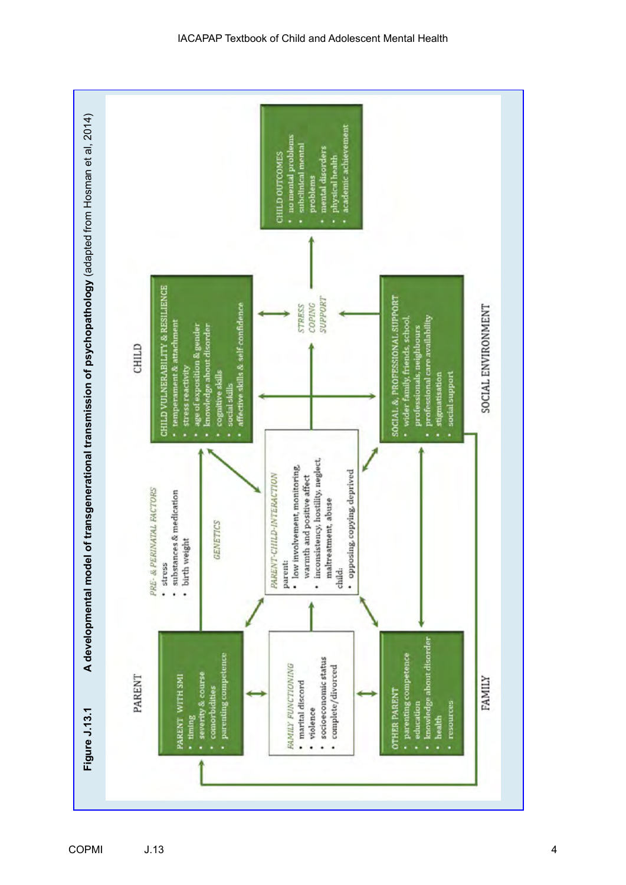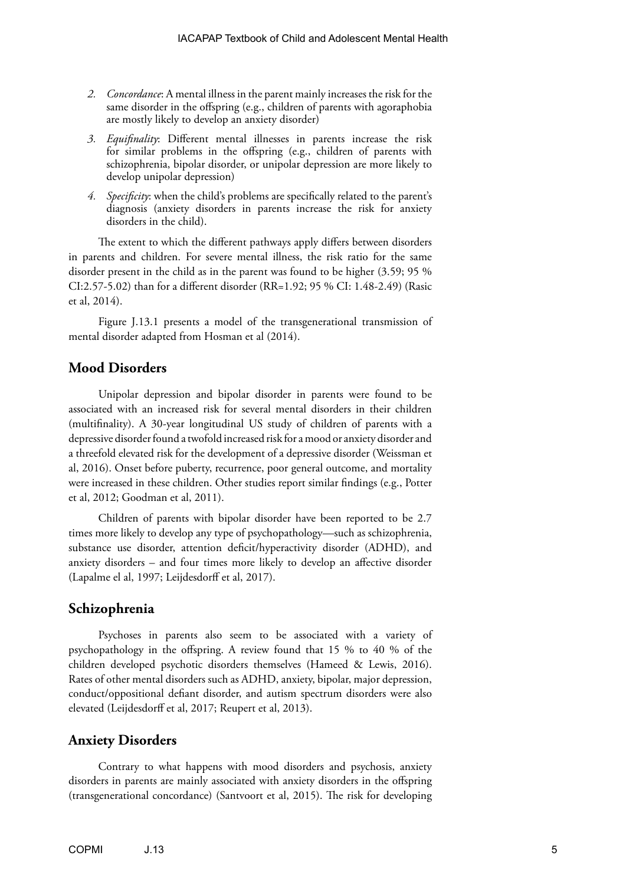- *2. Concordance*: A mental illness in the parent mainly increases the risk for the same disorder in the offspring (e.g., children of parents with agoraphobia are mostly likely to develop an anxiety disorder)
- *3. Equifinality*: Different mental illnesses in parents increase the risk for similar problems in the offspring (e.g., children of parents with schizophrenia, bipolar disorder, or unipolar depression are more likely to develop unipolar depression)
- *4. Specificity*: when the child's problems are specifically related to the parent's diagnosis (anxiety disorders in parents increase the risk for anxiety disorders in the child).

The extent to which the different pathways apply differs between disorders in parents and children. For severe mental illness, the risk ratio for the same disorder present in the child as in the parent was found to be higher (3.59; 95 % CI:2.57-5.02) than for a different disorder (RR=1.92; 95 % CI: 1.48-2.49) (Rasic et al, 2014).

Figure J.13.1 presents a model of the transgenerational transmission of mental disorder adapted from Hosman et al (2014).

# **Mood Disorders**

Unipolar depression and bipolar disorder in parents were found to be associated with an increased risk for several mental disorders in their children (multifinality). A 30-year longitudinal US study of children of parents with a depressive disorder found a twofold increased risk for a mood or anxiety disorder and a threefold elevated risk for the development of a depressive disorder (Weissman et al, 2016). Onset before puberty, recurrence, poor general outcome, and mortality were increased in these children. Other studies report similar findings (e.g., Potter et al, 2012; Goodman et al, 2011).

Children of parents with bipolar disorder have been reported to be 2.7 times more likely to develop any type of psychopathology—such as schizophrenia, substance use disorder, attention deficit/hyperactivity disorder (ADHD), and anxiety disorders – and four times more likely to develop an affective disorder (Lapalme el al, 1997; Leijdesdorff et al, 2017).

# **Schizophrenia**

Psychoses in parents also seem to be associated with a variety of psychopathology in the offspring. A review found that 15 % to 40 % of the children developed psychotic disorders themselves (Hameed & Lewis, 2016). Rates of other mental disorders such as ADHD, anxiety, bipolar, major depression, conduct/oppositional defiant disorder, and autism spectrum disorders were also elevated (Leijdesdorff et al, 2017; Reupert et al, 2013).

#### **Anxiety Disorders**

Contrary to what happens with mood disorders and psychosis, anxiety disorders in parents are mainly associated with anxiety disorders in the offspring (transgenerational concordance) (Santvoort et al, 2015). The risk for developing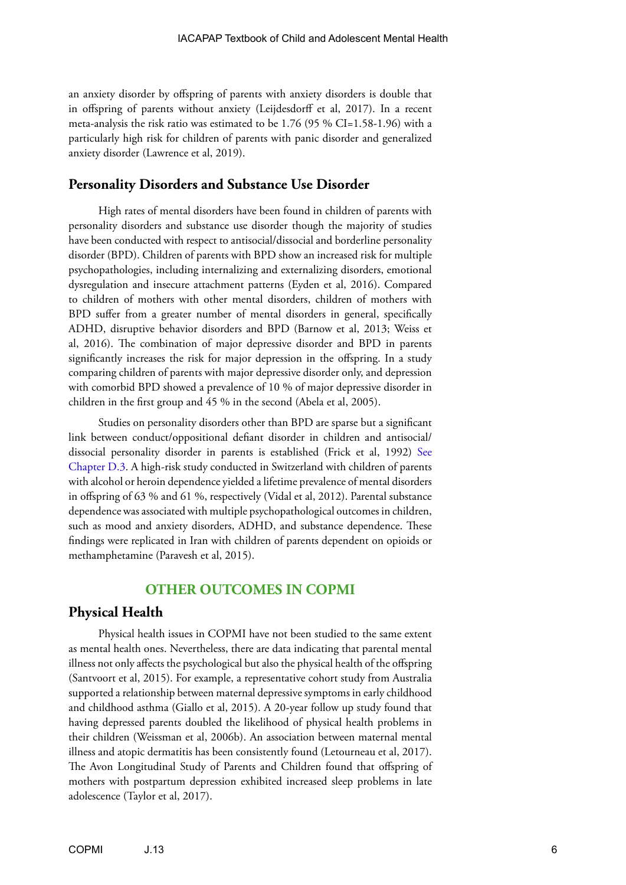an anxiety disorder by offspring of parents with anxiety disorders is double that in offspring of parents without anxiety (Leijdesdorff et al, 2017). In a recent meta-analysis the risk ratio was estimated to be 1.76 (95 % CI=1.58-1.96) with a particularly high risk for children of parents with panic disorder and generalized anxiety disorder (Lawrence et al, 2019).

### **Personality Disorders and Substance Use Disorder**

High rates of mental disorders have been found in children of parents with personality disorders and substance use disorder though the majority of studies have been conducted with respect to antisocial/dissocial and borderline personality disorder (BPD). Children of parents with BPD show an increased risk for multiple psychopathologies, including internalizing and externalizing disorders, emotional dysregulation and insecure attachment patterns (Eyden et al, 2016). Compared to children of mothers with other mental disorders, children of mothers with BPD suffer from a greater number of mental disorders in general, specifically ADHD, disruptive behavior disorders and BPD (Barnow et al, 2013; Weiss et al, 2016). The combination of major depressive disorder and BPD in parents significantly increases the risk for major depression in the offspring. In a study comparing children of parents with major depressive disorder only, and depression with comorbid BPD showed a prevalence of 10 % of major depressive disorder in children in the first group and 45 % in the second (Abela et al, 2005).

Studies on personality disorders other than BPD are sparse but a significant link between conduct/oppositional defiant disorder in children and antisocial/ dissocial personality disorder in parents is established (Frick et al, 1992) [See](https://iacapap.org/content/uploads/D.3-CONDUCT-DISORDER-072012.pdf)  [Chapter D.3](https://iacapap.org/content/uploads/D.3-CONDUCT-DISORDER-072012.pdf). A high-risk study conducted in Switzerland with children of parents with alcohol or heroin dependence yielded a lifetime prevalence of mental disorders in offspring of 63 % and 61 %, respectively (Vidal et al, 2012). Parental substance dependence was associated with multiple psychopathological outcomes in children, such as mood and anxiety disorders, ADHD, and substance dependence. These findings were replicated in Iran with children of parents dependent on opioids or methamphetamine (Paravesh et al, 2015).

# **OTHER OUTCOMES IN COPMI**

# **Physical Health**

Physical health issues in COPMI have not been studied to the same extent as mental health ones. Nevertheless, there are data indicating that parental mental illness not only affects the psychological but also the physical health of the offspring (Santvoort et al, 2015). For example, a representative cohort study from Australia supported a relationship between maternal depressive symptoms in early childhood and childhood asthma (Giallo et al, 2015). A 20-year follow up study found that having depressed parents doubled the likelihood of physical health problems in their children (Weissman et al, 2006b). An association between maternal mental illness and atopic dermatitis has been consistently found (Letourneau et al, 2017). The Avon Longitudinal Study of Parents and Children found that offspring of mothers with postpartum depression exhibited increased sleep problems in late adolescence (Taylor et al, 2017).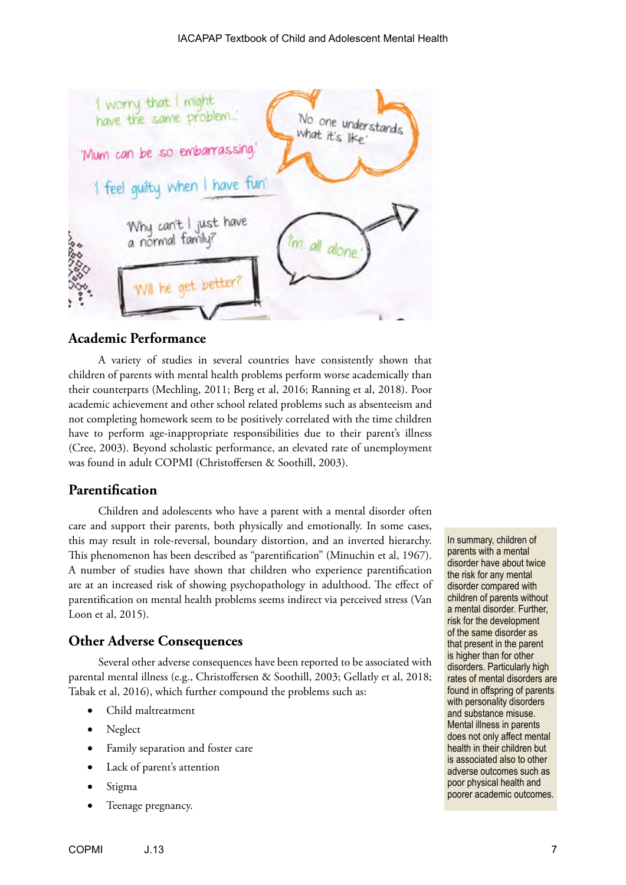

# **Academic Performance**

A variety of studies in several countries have consistently shown that children of parents with mental health problems perform worse academically than their counterparts (Mechling, 2011; Berg et al, 2016; Ranning et al, 2018). Poor academic achievement and other school related problems such as absenteeism and not completing homework seem to be positively correlated with the time children have to perform age-inappropriate responsibilities due to their parent's illness (Cree, 2003). Beyond scholastic performance, an elevated rate of unemployment was found in adult COPMI (Christoffersen & Soothill, 2003).

# **Parentification**

Children and adolescents who have a parent with a mental disorder often care and support their parents, both physically and emotionally. In some cases, this may result in role-reversal, boundary distortion, and an inverted hierarchy. This phenomenon has been described as "parentification" (Minuchin et al, 1967). A number of studies have shown that children who experience parentification are at an increased risk of showing psychopathology in adulthood. The effect of parentification on mental health problems seems indirect via perceived stress (Van Loon et al, 2015).

# **Other Adverse Consequences**

Several other adverse consequences have been reported to be associated with parental mental illness (e.g., Christoffersen & Soothill, 2003; Gellatly et al, 2018; Tabak et al, 2016), which further compound the problems such as:

- Child maltreatment
- Neglect
- Family separation and foster care
- Lack of parent's attention
- Stigma
- Teenage pregnancy.

In summary, children of parents with a mental disorder have about twice the risk for any mental disorder compared with children of parents without a mental disorder. Further, risk for the development of the same disorder as that present in the parent is higher than for other disorders. Particularly high rates of mental disorders are found in offspring of parents with personality disorders and substance misuse. Mental illness in parents does not only affect mental health in their children but is associated also to other adverse outcomes such as poor physical health and poorer academic outcomes.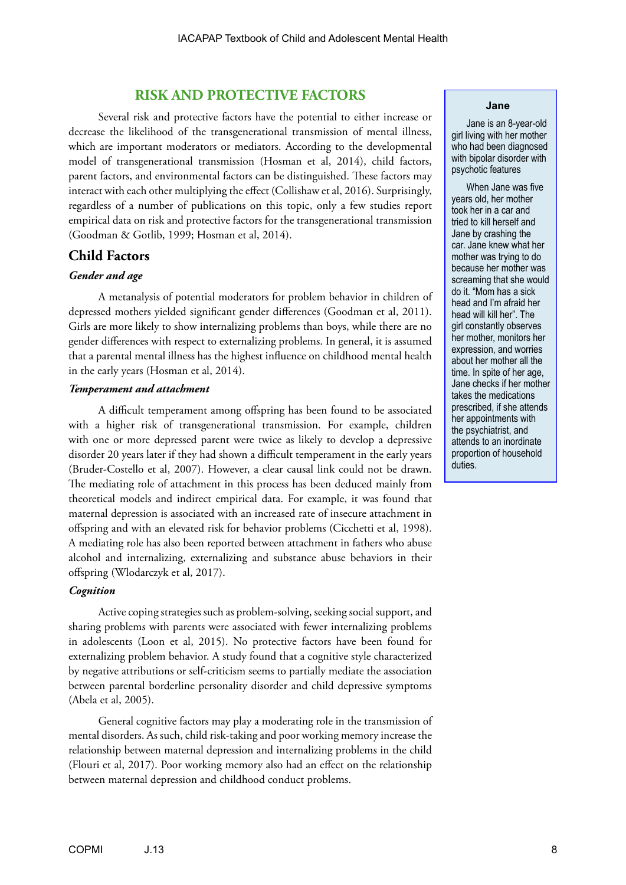# **RISK AND PROTECTIVE FACTORS**

Several risk and protective factors have the potential to either increase or decrease the likelihood of the transgenerational transmission of mental illness, which are important moderators or mediators. According to the developmental model of transgenerational transmission (Hosman et al, 2014), child factors, parent factors, and environmental factors can be distinguished. These factors may interact with each other multiplying the effect (Collishaw et al, 2016). Surprisingly, regardless of a number of publications on this topic, only a few studies report empirical data on risk and protective factors for the transgenerational transmission (Goodman & Gotlib, 1999; Hosman et al, 2014).

# **Child Factors**

#### *Gender and age*

A metanalysis of potential moderators for problem behavior in children of depressed mothers yielded significant gender differences (Goodman et al, 2011). Girls are more likely to show internalizing problems than boys, while there are no gender differences with respect to externalizing problems. In general, it is assumed that a parental mental illness has the highest influence on childhood mental health in the early years (Hosman et al, 2014).

#### *Temperament and attachment*

A difficult temperament among offspring has been found to be associated with a higher risk of transgenerational transmission. For example, children with one or more depressed parent were twice as likely to develop a depressive disorder 20 years later if they had shown a difficult temperament in the early years (Bruder-Costello et al, 2007). However, a clear causal link could not be drawn. The mediating role of attachment in this process has been deduced mainly from theoretical models and indirect empirical data. For example, it was found that maternal depression is associated with an increased rate of insecure attachment in offspring and with an elevated risk for behavior problems (Cicchetti et al, 1998). A mediating role has also been reported between attachment in fathers who abuse alcohol and internalizing, externalizing and substance abuse behaviors in their offspring (Wlodarczyk et al, 2017).

#### *Cognition*

Active coping strategies such as problem-solving, seeking social support, and sharing problems with parents were associated with fewer internalizing problems in adolescents (Loon et al, 2015). No protective factors have been found for externalizing problem behavior. A study found that a cognitive style characterized by negative attributions or self-criticism seems to partially mediate the association between parental borderline personality disorder and child depressive symptoms (Abela et al, 2005).

General cognitive factors may play a moderating role in the transmission of mental disorders. As such, child risk-taking and poor working memory increase the relationship between maternal depression and internalizing problems in the child (Flouri et al, 2017). Poor working memory also had an effect on the relationship between maternal depression and childhood conduct problems.

#### **Jane**

Jane is an 8-year-old girl living with her mother who had been diagnosed with bipolar disorder with psychotic features

When Jane was five years old, her mother took her in a car and tried to kill herself and Jane by crashing the car. Jane knew what her mother was trying to do because her mother was screaming that she would do it. "Mom has a sick head and I'm afraid her head will kill her". The girl constantly observes her mother, monitors her expression, and worries about her mother all the time. In spite of her age, Jane checks if her mother takes the medications prescribed, if she attends her appointments with the psychiatrist, and attends to an inordinate proportion of household duties.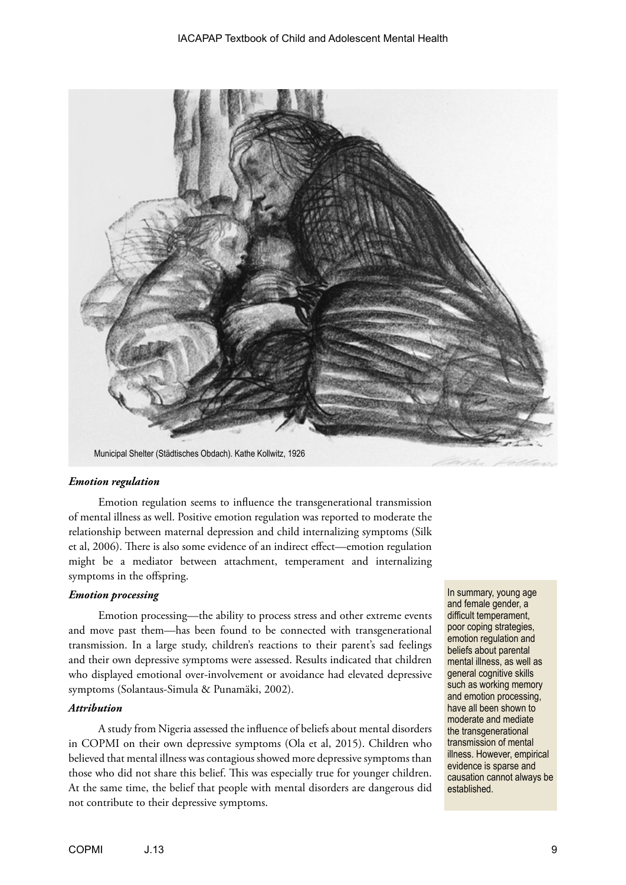

# *Emotion regulation*

Emotion regulation seems to influence the transgenerational transmission of mental illness as well. Positive emotion regulation was reported to moderate the relationship between maternal depression and child internalizing symptoms (Silk et al, 2006). There is also some evidence of an indirect effect—emotion regulation might be a mediator between attachment, temperament and internalizing symptoms in the offspring.

#### *Emotion processing*

Emotion processing—the ability to process stress and other extreme events and move past them—has been found to be connected with transgenerational transmission. In a large study, children's reactions to their parent's sad feelings and their own depressive symptoms were assessed. Results indicated that children who displayed emotional over-involvement or avoidance had elevated depressive symptoms (Solantaus-Simula & Punamäki, 2002).

#### *Attribution*

A study from Nigeria assessed the influence of beliefs about mental disorders in COPMI on their own depressive symptoms (Ola et al, 2015). Children who believed that mental illness was contagious showed more depressive symptoms than those who did not share this belief. This was especially true for younger children. At the same time, the belief that people with mental disorders are dangerous did not contribute to their depressive symptoms.

In summary, young age and female gender, a difficult temperament, poor coping strategies, emotion regulation and beliefs about parental mental illness, as well as general cognitive skills such as working memory and emotion processing, have all been shown to moderate and mediate the transgenerational transmission of mental illness. However, empirical evidence is sparse and causation cannot always be established.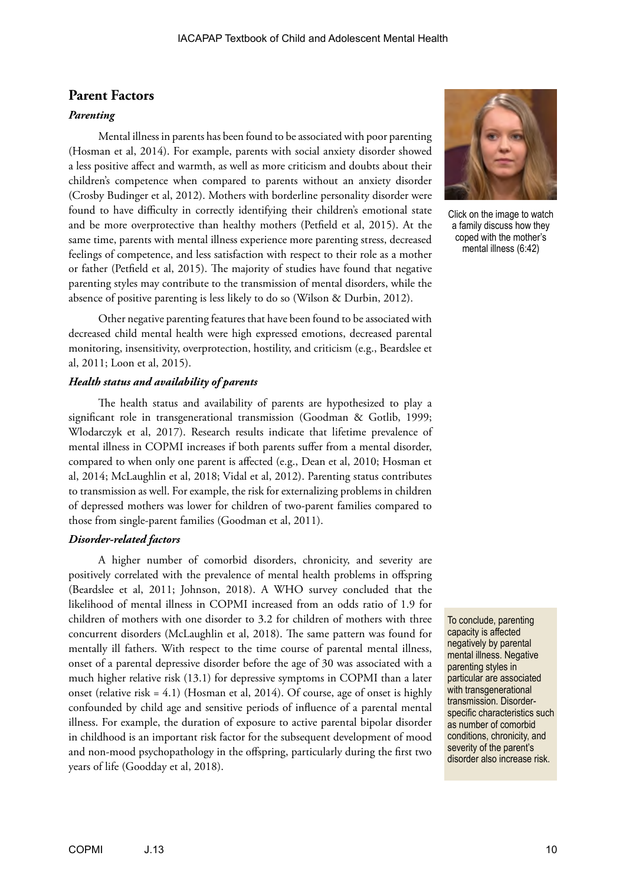# **Parent Factors**

#### *Parenting*

Mental illness in parents has been found to be associated with poor parenting (Hosman et al, 2014). For example, parents with social anxiety disorder showed a less positive affect and warmth, as well as more criticism and doubts about their children's competence when compared to parents without an anxiety disorder (Crosby Budinger et al, 2012). Mothers with borderline personality disorder were found to have difficulty in correctly identifying their children's emotional state and be more overprotective than healthy mothers (Petfield et al, 2015). At the same time, parents with mental illness experience more parenting stress, decreased feelings of competence, and less satisfaction with respect to their role as a mother or father (Petfield et al, 2015). The majority of studies have found that negative parenting styles may contribute to the transmission of mental disorders, while the absence of positive parenting is less likely to do so (Wilson & Durbin, 2012).

Other negative parenting features that have been found to be associated with decreased child mental health were high expressed emotions, decreased parental monitoring, insensitivity, overprotection, hostility, and criticism (e.g., Beardslee et al, 2011; Loon et al, 2015).

#### *Health status and availability of parents*

The health status and availability of parents are hypothesized to play a significant role in transgenerational transmission (Goodman & Gotlib, 1999; Wlodarczyk et al, 2017). Research results indicate that lifetime prevalence of mental illness in COPMI increases if both parents suffer from a mental disorder, compared to when only one parent is affected (e.g., Dean et al, 2010; Hosman et al, 2014; McLaughlin et al, 2018; Vidal et al, 2012). Parenting status contributes to transmission as well. For example, the risk for externalizing problems in children of depressed mothers was lower for children of two-parent families compared to those from single-parent families (Goodman et al, 2011).

#### *Disorder-related factors*

A higher number of comorbid disorders, chronicity, and severity are positively correlated with the prevalence of mental health problems in offspring (Beardslee et al, 2011; Johnson, 2018). A WHO survey concluded that the likelihood of mental illness in COPMI increased from an odds ratio of 1.9 for children of mothers with one disorder to 3.2 for children of mothers with three concurrent disorders (McLaughlin et al, 2018). The same pattern was found for mentally ill fathers. With respect to the time course of parental mental illness, onset of a parental depressive disorder before the age of 30 was associated with a much higher relative risk (13.1) for depressive symptoms in COPMI than a later onset (relative risk = 4.1) (Hosman et al, 2014). Of course, age of onset is highly confounded by child age and sensitive periods of influence of a parental mental illness. For example, the duration of exposure to active parental bipolar disorder in childhood is an important risk factor for the subsequent development of mood and non‐mood psychopathology in the offspring, particularly during the first two years of life (Goodday et al, 2018).



Click on the image to watch a family discuss how they coped with the mother's mental illness (6:42)

To conclude, parenting capacity is affected negatively by parental mental illness. Negative parenting styles in particular are associated with transgenerational transmission. Disorderspecific characteristics such as number of comorbid conditions, chronicity, and severity of the parent's disorder also increase risk.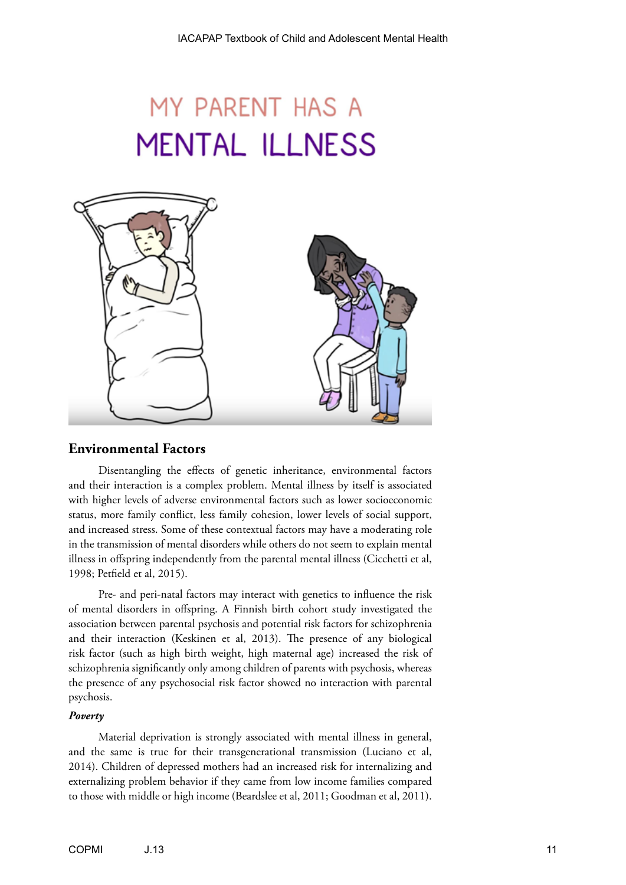# MY PARENT HAS A **MENTAL ILLNESS**



# **Environmental Factors**

Disentangling the effects of genetic inheritance, environmental factors and their interaction is a complex problem. Mental illness by itself is associated with higher levels of adverse environmental factors such as lower socioeconomic status, more family conflict, less family cohesion, lower levels of social support, and increased stress. Some of these contextual factors may have a moderating role in the transmission of mental disorders while others do not seem to explain mental illness in offspring independently from the parental mental illness (Cicchetti et al, 1998; Petfield et al, 2015).

Pre- and peri-natal factors may interact with genetics to influence the risk of mental disorders in offspring. A Finnish birth cohort study investigated the association between parental psychosis and potential risk factors for schizophrenia and their interaction (Keskinen et al, 2013). The presence of any biological risk factor (such as high birth weight, high maternal age) increased the risk of schizophrenia significantly only among children of parents with psychosis, whereas the presence of any psychosocial risk factor showed no interaction with parental psychosis.

#### *Poverty*

Material deprivation is strongly associated with mental illness in general, and the same is true for their transgenerational transmission (Luciano et al, 2014). Children of depressed mothers had an increased risk for internalizing and externalizing problem behavior if they came from low income families compared to those with middle or high income (Beardslee et al, 2011; Goodman et al, 2011).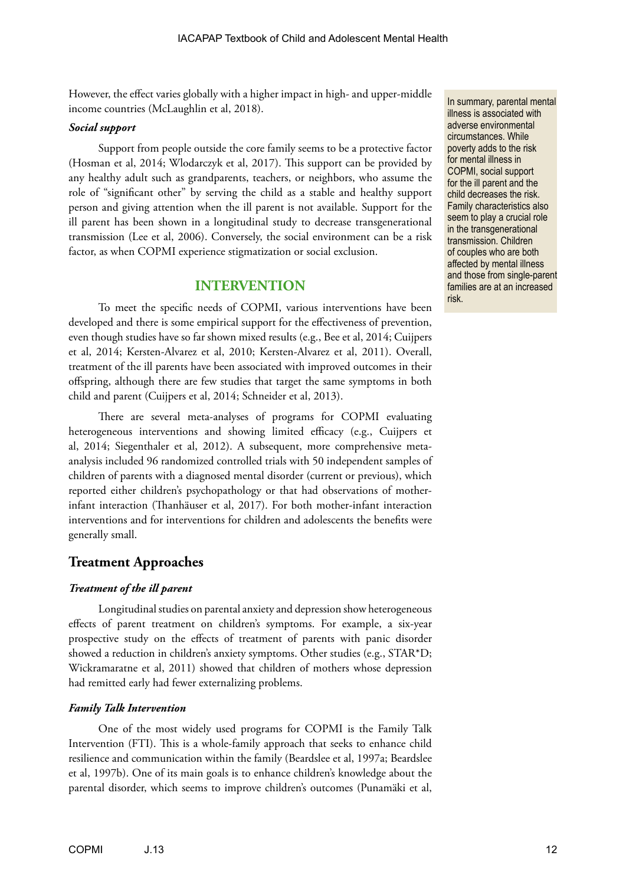However, the effect varies globally with a higher impact in high- and upper-middle income countries (McLaughlin et al, 2018).

#### *Social support*

Support from people outside the core family seems to be a protective factor (Hosman et al, 2014; Wlodarczyk et al, 2017). This support can be provided by any healthy adult such as grandparents, teachers, or neighbors, who assume the role of "significant other" by serving the child as a stable and healthy support person and giving attention when the ill parent is not available. Support for the ill parent has been shown in a longitudinal study to decrease transgenerational transmission (Lee et al, 2006). Conversely, the social environment can be a risk factor, as when COPMI experience stigmatization or social exclusion.

# **INTERVENTION**

To meet the specific needs of COPMI, various interventions have been developed and there is some empirical support for the effectiveness of prevention, even though studies have so far shown mixed results (e.g., Bee et al, 2014; Cuijpers et al, 2014; Kersten-Alvarez et al, 2010; Kersten-Alvarez et al, 2011). Overall, treatment of the ill parents have been associated with improved outcomes in their offspring, although there are few studies that target the same symptoms in both child and parent (Cuijpers et al, 2014; Schneider et al, 2013).

There are several meta-analyses of programs for COPMI evaluating heterogeneous interventions and showing limited efficacy (e.g., Cuijpers et al, 2014; Siegenthaler et al, 2012). A subsequent, more comprehensive metaanalysis included 96 randomized controlled trials with 50 independent samples of children of parents with a diagnosed mental disorder (current or previous), which reported either children's psychopathology or that had observations of motherinfant interaction (Thanhäuser et al, 2017). For both mother-infant interaction interventions and for interventions for children and adolescents the benefits were generally small.

# **Treatment Approaches**

#### *Treatment of the ill parent*

Longitudinal studies on parental anxiety and depression show heterogeneous effects of parent treatment on children's symptoms. For example, a six-year prospective study on the effects of treatment of parents with panic disorder showed a reduction in children's anxiety symptoms. Other studies (e.g., STAR\*D; Wickramaratne et al, 2011) showed that children of mothers whose depression had remitted early had fewer externalizing problems.

#### *Family Talk Intervention*

One of the most widely used programs for COPMI is the Family Talk Intervention (FTI). This is a whole-family approach that seeks to enhance child resilience and communication within the family (Beardslee et al, 1997a; Beardslee et al, 1997b). One of its main goals is to enhance children's knowledge about the parental disorder, which seems to improve children's outcomes (Punamäki et al, In summary, parental mental illness is associated with adverse environmental circumstances. While poverty adds to the risk for mental illness in COPMI, social support for the ill parent and the child decreases the risk. Family characteristics also seem to play a crucial role in the transgenerational transmission. Children of couples who are both affected by mental illness and those from single-parent families are at an increased risk.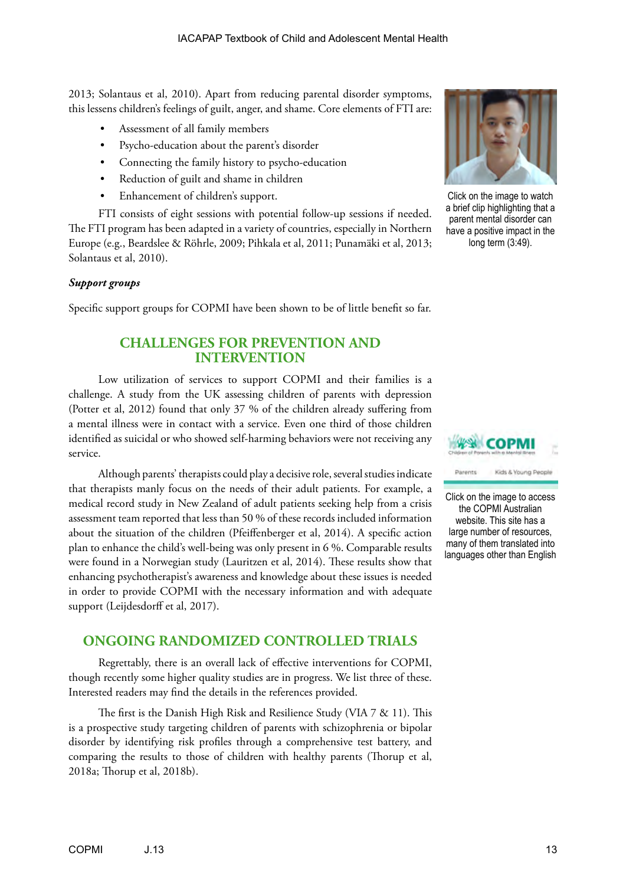2013; Solantaus et al, 2010). Apart from reducing parental disorder symptoms, this lessens children's feelings of guilt, anger, and shame. Core elements of FTI are:

- Assessment of all family members
- Psycho-education about the parent's disorder
- Connecting the family history to psycho-education
- Reduction of guilt and shame in children
- Enhancement of children's support.

FTI consists of eight sessions with potential follow-up sessions if needed. The FTI program has been adapted in a variety of countries, especially in Northern Europe (e.g., Beardslee & Röhrle, 2009; Pihkala et al, 2011; Punamäki et al, 2013; Solantaus et al, 2010).

#### *Support groups*

Specific support groups for COPMI have been shown to be of little benefit so far.

# **CHALLENGES FOR PREVENTION AND INTERVENTION**

Low utilization of services to support COPMI and their families is a challenge. A study from the UK assessing children of parents with depression (Potter et al, 2012) found that only 37 % of the children already suffering from a mental illness were in contact with a service. Even one third of those children identified as suicidal or who showed self-harming behaviors were not receiving any service.

Although parents' therapists could play a decisive role, several studies indicate that therapists manly focus on the needs of their adult patients. For example, a medical record study in New Zealand of adult patients seeking help from a crisis assessment team reported that less than 50 % of these records included information about the situation of the children (Pfeiffenberger et al, 2014). A specific action plan to enhance the child's well-being was only present in 6 %. Comparable results were found in a Norwegian study (Lauritzen et al, 2014). These results show that enhancing psychotherapist's awareness and knowledge about these issues is needed in order to provide COPMI with the necessary information and with adequate support (Leijdesdorff et al, 2017).

# **ONGOING RANDOMIZED CONTROLLED TRIALS**

Regrettably, there is an overall lack of effective interventions for COPMI, though recently some higher quality studies are in progress. We list three of these. Interested readers may find the details in the references provided.

The first is the Danish High Risk and Resilience Study (VIA 7 & 11). This is a prospective study targeting children of parents with schizophrenia or bipolar disorder by identifying risk profiles through a comprehensive test battery, and comparing the results to those of children with healthy parents (Thorup et al, 2018a; Thorup et al, 2018b).



Click on the image to watch a brief clip highlighting that a parent mental disorder can have a positive impact in the long term (3:49).





Click on the image to access the COPMI Australian website. This site has a large number of resources, many of them translated into languages other than English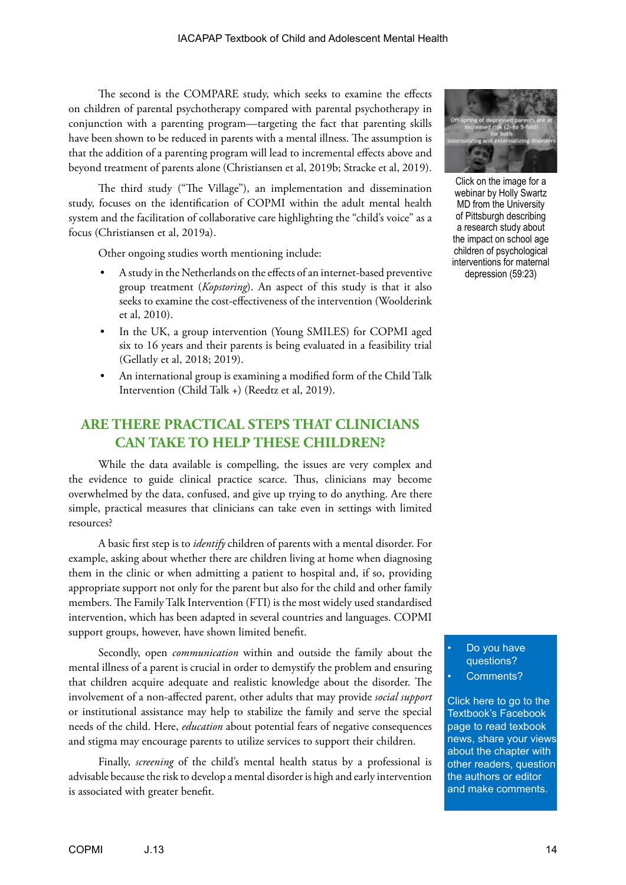The second is the COMPARE study, which seeks to examine the effects on children of parental psychotherapy compared with parental psychotherapy in conjunction with a parenting program—targeting the fact that parenting skills have been shown to be reduced in parents with a mental illness. The assumption is that the addition of a parenting program will lead to incremental effects above and beyond treatment of parents alone (Christiansen et al, 2019b; Stracke et al, 2019).

The third study ("The Village"), an implementation and dissemination study, focuses on the identification of COPMI within the adult mental health system and the facilitation of collaborative care highlighting the "child's voice" as a focus (Christiansen et al, 2019a).

Other ongoing studies worth mentioning include:

- A study in the Netherlands on the effects of an internet-based preventive group treatment (*Kopstoring*). An aspect of this study is that it also seeks to examine the cost-effectiveness of the intervention (Woolderink et al, 2010).
- In the UK, a group intervention (Young SMILES) for COPMI aged six to 16 years and their parents is being evaluated in a feasibility trial (Gellatly et al, 2018; 2019).
- An international group is examining a modified form of the Child Talk Intervention (Child Talk +) (Reedtz et al, 2019).

# **ARE THERE PRACTICAL STEPS THAT CLINICIANS CAN TAKE TO HELP THESE CHILDREN?**

While the data available is compelling, the issues are very complex and the evidence to guide clinical practice scarce. Thus, clinicians may become overwhelmed by the data, confused, and give up trying to do anything. Are there simple, practical measures that clinicians can take even in settings with limited resources?

A basic first step is to *identify* children of parents with a mental disorder. For example, asking about whether there are children living at home when diagnosing them in the clinic or when admitting a patient to hospital and, if so, providing appropriate support not only for the parent but also for the child and other family members. The Family Talk Intervention (FTI) is the most widely used standardised intervention, which has been adapted in several countries and languages. COPMI support groups, however, have shown limited benefit.

Secondly, open *communication* within and outside the family about the mental illness of a parent is crucial in order to demystify the problem and ensuring that children acquire adequate and realistic knowledge about the disorder. The involvement of a non-affected parent, other adults that may provide *social support* or institutional assistance may help to stabilize the family and serve the special needs of the child. Here, *education* about potential fears of negative consequences and stigma may encourage parents to utilize services to support their children.

Finally, *screening* of the child's mental health status by a professional is advisable because the risk to develop a mental disorder is high and early intervention is associated with greater benefit.



Click on the image for a webinar by Holly Swartz MD from the University of Pittsburgh describing a research study about the impact on school age children of psychological interventions for maternal depression (59:23)

Do you have questions? Comments?

Click here to go to the Textbook's Facebook page to read texbook [news, share your views](https://www.facebook.com/pages/IACAPAP-Textbook-of-Child-and-Adolescent-Mental-Health/249690448525378)  about the chapter with other readers, question the authors or editor and make comments.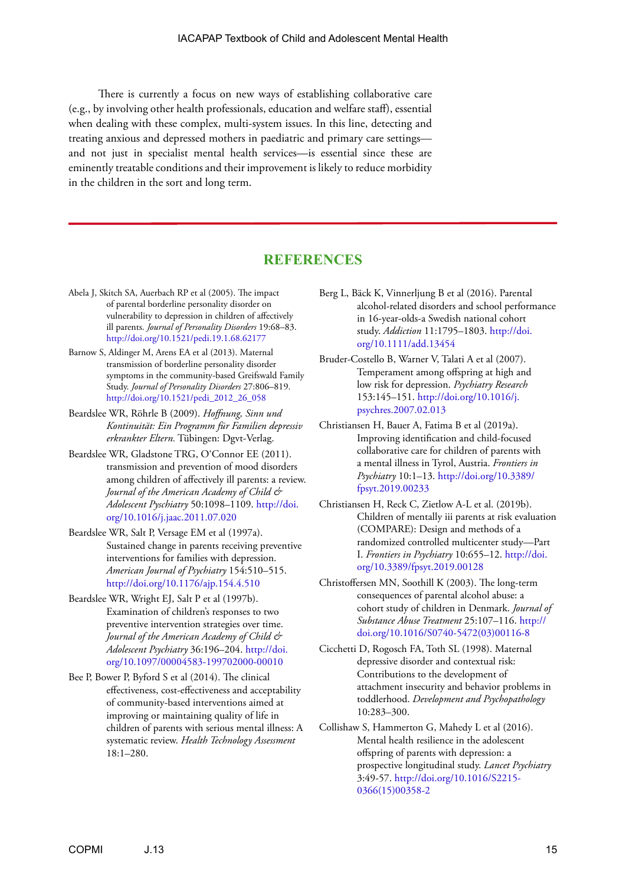There is currently a focus on new ways of establishing collaborative care (e.g., by involving other health professionals, education and welfare staff), essential when dealing with these complex, multi-system issues. In this line, detecting and treating anxious and depressed mothers in paediatric and primary care settings and not just in specialist mental health services—is essential since these are eminently treatable conditions and their improvement is likely to reduce morbidity in the children in the sort and long term.

# **REFERENCES**

- Abela J, Skitch SA, Auerbach RP et al (2005). The impact of parental borderline personality disorder on vulnerability to depression in children of affectively ill parents. *Journal of Personality Disorders* 19:68–83. <http://doi.org/10.1521/pedi.19.1.68.62177>
- Barnow S, Aldinger M, Arens EA et al (2013). Maternal transmission of borderline personality disorder symptoms in the community-based Greifswald Family Study. *Journal of Personality Disorders* 27:806–819. [http://doi.org/10.1521/pedi\\_2012\\_26\\_058](http://doi.org/10.1521/pedi_2012_26_058)
- Beardslee WR, Röhrle B (2009). *Hoffnung, Sinn und Kontinuität: Ein Programm für Familien depressiv erkrankter Eltern.* Tübingen: Dgvt-Verlag.
- Beardslee WR, Gladstone TRG, O'Connor EE (2011). transmission and prevention of mood disorders among children of affectively ill parents: a review. *Journal of the American Academy of Child & Adolescent Pyschiatry* 50:1098–1109. [http://doi.](http://doi.org/10.1016/j.jaac.2011.07.020) [org/10.1016/j.jaac.2011.07.020](http://doi.org/10.1016/j.jaac.2011.07.020)
- Beardslee WR, Salt P, Versage EM et al (1997a). Sustained change in parents receiving preventive interventions for families with depression. *American Journal of Psychiatry* 154:510–515. <http://doi.org/10.1176/ajp.154.4.510>
- Beardslee WR, Wright EJ, Salt P et al (1997b). Examination of children's responses to two preventive intervention strategies over time. *Journal of the American Academy of Child & Adolescent Psychiatry* 36:196–204. [http://doi.](http://doi.org/10.1097/00004583-199702000-00010) [org/10.1097/00004583-199702000-00010](http://doi.org/10.1097/00004583-199702000-00010)
- Bee P, Bower P, Byford S et al (2014). The clinical effectiveness, cost-effectiveness and acceptability of community-based interventions aimed at improving or maintaining quality of life in children of parents with serious mental illness: A systematic review. *Health Technology Assessment* 18:1–280.
- Berg L, Bäck K, Vinnerljung B et al (2016). Parental alcohol-related disorders and school performance in 16-year-olds-a Swedish national cohort study. *Addiction* 11:1795–1803. [http://doi.](http://doi.org/10.1111/add.13454) [org/10.1111/add.13454](http://doi.org/10.1111/add.13454)
- Bruder-Costello B, Warner V, Talati A et al (2007). Temperament among offspring at high and low risk for depression. *Psychiatry Research* 153:145–151. [http://doi.org/10.1016/j.](http://doi.org/10.1016/j.psychres.2007.02.013) [psychres.2007.02.013](http://doi.org/10.1016/j.psychres.2007.02.013)
- Christiansen H, Bauer A, Fatima B et al (2019a). Improving identification and child-focused collaborative care for children of parents with a mental illness in Tyrol, Austria. *Frontiers in Psychiatry* 10:1–13. [http://doi.org/10.3389/](http://doi.org/10.3389/fpsyt.2019.00233) [fpsyt.2019.00233](http://doi.org/10.3389/fpsyt.2019.00233)
- Christiansen H, Reck C, Zietlow A-L et al. (2019b). Children of mentally iii parents at risk evaluation (COMPARE): Design and methods of a randomized controlled multicenter study—Part I. *Frontiers in Psychiatry* 10:655–12. [http://doi.](http://doi.org/10.3389/fpsyt.2019.00128) [org/10.3389/fpsyt.2019.00128](http://doi.org/10.3389/fpsyt.2019.00128)
- Christoffersen MN, Soothill K (2003). The long-term consequences of parental alcohol abuse: a cohort study of children in Denmark. *Journal of Substance Abuse Treatment* 25:107–116. [http://](http://doi.org/10.1016/S0740-5472(03)00116-8) [doi.org/10.1016/S0740-5472\(03\)00116-8](http://doi.org/10.1016/S0740-5472(03)00116-8)
- Cicchetti D, Rogosch FA, Toth SL (1998). Maternal depressive disorder and contextual risk: Contributions to the development of attachment insecurity and behavior problems in toddlerhood. *Development and Psychopathology* 10:283–300.

Collishaw S, Hammerton G, Mahedy L et al (2016). Mental health resilience in the adolescent offspring of parents with depression: a prospective longitudinal study. *Lancet Psychiatry* 3:49-57. [http://doi.org/10.1016/S2215-](http://doi.org/10.1016/S2215-0366(15)00358-2) [0366\(15\)00358-2](http://doi.org/10.1016/S2215-0366(15)00358-2)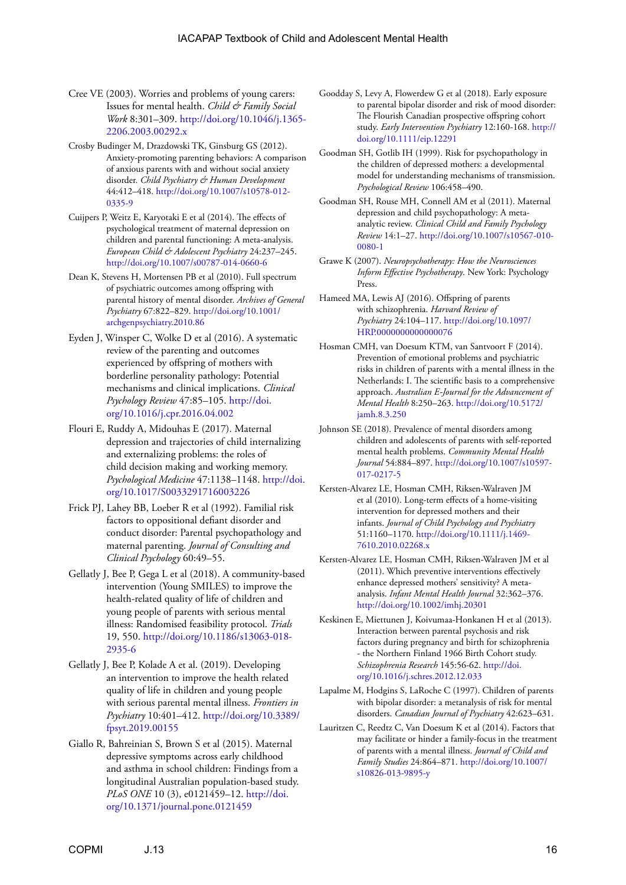- Cree VE (2003). Worries and problems of young carers: Issues for mental health. *Child & Family Social Work* 8:301–309. [http://doi.org/10.1046/j.1365-](http://doi.org/10.1046/j.1365-2206.2003.00292.x) [2206.2003.00292.x](http://doi.org/10.1046/j.1365-2206.2003.00292.x)
- Crosby Budinger M, Drazdowski TK, Ginsburg GS (2012). Anxiety-promoting parenting behaviors: A comparison of anxious parents with and without social anxiety disorder. *Child Psychiatry & Human Development* 44:412–418. [http://doi.org/10.1007/s10578-012-](http://doi.org/10.1007/s10578-012-0335-9) [0335-9](http://doi.org/10.1007/s10578-012-0335-9)
- Cuijpers P, Weitz E, Karyotaki E et al (2014). The effects of psychological treatment of maternal depression on children and parental functioning: A meta-analysis. *European Child & Adolescent Psychiatry* 24:237–245. <http://doi.org/10.1007/s00787-014-0660-6>
- Dean K, Stevens H, Mortensen PB et al (2010). Full spectrum of psychiatric outcomes among offspring with parental history of mental disorder. *Archives of General Psychiatry* 67:822–829. [http://doi.org/10.1001/](http://doi.org/10.1001/archgenpsychiatry.2010.86) [archgenpsychiatry.2010.86](http://doi.org/10.1001/archgenpsychiatry.2010.86)
- Eyden J, Winsper C, Wolke D et al (2016). A systematic review of the parenting and outcomes experienced by offspring of mothers with borderline personality pathology: Potential mechanisms and clinical implications. *Clinical Psychology Review* 47:85–105. [http://doi.](http://doi.org/10.1016/j.cpr.2016.04.002) [org/10.1016/j.cpr.2016.04.002](http://doi.org/10.1016/j.cpr.2016.04.002)
- Flouri E, Ruddy A, Midouhas E (2017). Maternal depression and trajectories of child internalizing and externalizing problems: the roles of child decision making and working memory. *Psychological Medicine* 47:1138–1148. [http://doi.](http://doi.org/10.1017/S0033291716003226) [org/10.1017/S0033291716003226](http://doi.org/10.1017/S0033291716003226)
- Frick PJ, Lahey BB, Loeber R et al (1992). Familial risk factors to oppositional defiant disorder and conduct disorder: Parental psychopathology and maternal parenting. *Journal of Consulting and Clinical Psychology* 60:49–55.
- Gellatly J, Bee P, Gega L et al (2018). A community-based intervention (Young SMILES) to improve the health-related quality of life of children and young people of parents with serious mental illness: Randomised feasibility protocol. *Trials* 19, 550. [http://doi.org/10.1186/s13063-018-](http://doi.org/10.1186/s13063-018-2935-6) [2935-6](http://doi.org/10.1186/s13063-018-2935-6)
- Gellatly J, Bee P, Kolade A et al. (2019). Developing an intervention to improve the health related quality of life in children and young people with serious parental mental illness. *Frontiers in Psychiatry* 10:401–412. [http://doi.org/10.3389/](http://doi.org/10.3389/fpsyt.2019.00155) [fpsyt.2019.00155](http://doi.org/10.3389/fpsyt.2019.00155)
- Giallo R, Bahreinian S, Brown S et al (2015). Maternal depressive symptoms across early childhood and asthma in school children: Findings from a longitudinal Australian population-based study. *PLoS ONE* 10 (3), e0121459–12. [http://doi.](http://doi.org/10.1371/journal.pone.0121459) [org/10.1371/journal.pone.0121459](http://doi.org/10.1371/journal.pone.0121459)
- Goodday S, Levy A, Flowerdew G et al (2018). Early exposure to parental bipolar disorder and risk of mood disorder: The Flourish Canadian prospective offspring cohort study. *Early Intervention Psychiatry* 12:160-168. [http://](http://doi.org/10.1111/eip.12291) [doi.org/10.1111/eip.12291](http://doi.org/10.1111/eip.12291)
- Goodman SH, Gotlib IH (1999). Risk for psychopathology in the children of depressed mothers: a developmental model for understanding mechanisms of transmission. *Psychological Review* 106:458–490.
- Goodman SH, Rouse MH, Connell AM et al (2011). Maternal depression and child psychopathology: A metaanalytic review. *Clinical Child and Family Psychology Review* 14:1–27. [http://doi.org/10.1007/s10567-010-](http://doi.org/10.1007/s10567-010-0080-1) [0080-1](http://doi.org/10.1007/s10567-010-0080-1)
- Grawe K (2007). *Neuropsychotherapy: How the Neurosciences Inform Effective Psychotherapy*. New York: Psychology Press.
- Hameed MA, Lewis AJ (2016). Offspring of parents with schizophrenia. *Harvard Review of Psychiatry* 24:104–117. [http://doi.org/10.1097/](http://doi.org/10.1097/HRP.0000000000000076) [HRP.0000000000000076](http://doi.org/10.1097/HRP.0000000000000076)
- Hosman CMH, van Doesum KTM, van Santvoort F (2014). Prevention of emotional problems and psychiatric risks in children of parents with a mental illness in the Netherlands: I. The scientific basis to a comprehensive approach. *Australian E-Journal for the Advancement of Mental Health* 8:250–263. [http://doi.org/10.5172/](http://doi.org/10.5172/jamh.8.3.250) [jamh.8.3.250](http://doi.org/10.5172/jamh.8.3.250)
- Johnson SE (2018). Prevalence of mental disorders among children and adolescents of parents with self-reported mental health problems. *Community Mental Health Journal* 54:884–897. [http://doi.org/10.1007/s10597-](http://doi.org/10.1007/s10597-017-0217-5) [017-0217-5](http://doi.org/10.1007/s10597-017-0217-5)
- Kersten-Alvarez LE, Hosman CMH, Riksen-Walraven JM et al (2010). Long-term effects of a home-visiting intervention for depressed mothers and their infants. *Journal of Child Psychology and Psychiatry* 51:1160–1170. [http://doi.org/10.1111/j.1469-](http://doi.org/10.1111/j.1469-7610.2010.02268.x) [7610.2010.02268.x](http://doi.org/10.1111/j.1469-7610.2010.02268.x)
- Kersten-Alvarez LE, Hosman CMH, Riksen-Walraven JM et al (2011). Which preventive interventions effectively enhance depressed mothers' sensitivity? A metaanalysis. *Infant Mental Health Journal* 32:362–376. <http://doi.org/10.1002/imhj.20301>
- Keskinen E, Miettunen J, Koivumaa-Honkanen H et al (2013). Interaction between parental psychosis and risk factors during pregnancy and birth for schizophrenia - the Northern Finland 1966 Birth Cohort study. *Schizophrenia Research* 145:56-62. [http://doi.](http://doi.org/10.1016/j.schres.2012.12.033) [org/10.1016/j.schres.2012.12.033](http://doi.org/10.1016/j.schres.2012.12.033)
- Lapalme M, Hodgins S, LaRoche C (1997). Children of parents with bipolar disorder: a metanalysis of risk for mental disorders. *Canadian Journal of Psychiatry* 42:623–631.
- Lauritzen C, Reedtz C, Van Doesum K et al (2014). Factors that may facilitate or hinder a family-focus in the treatment of parents with a mental illness. *Journal of Child and Family Studies* 24:864–871. [http://doi.org/10.1007/](http://doi.org/10.1007/s10826-013-9895-y) [s10826-013-9895-y](http://doi.org/10.1007/s10826-013-9895-y)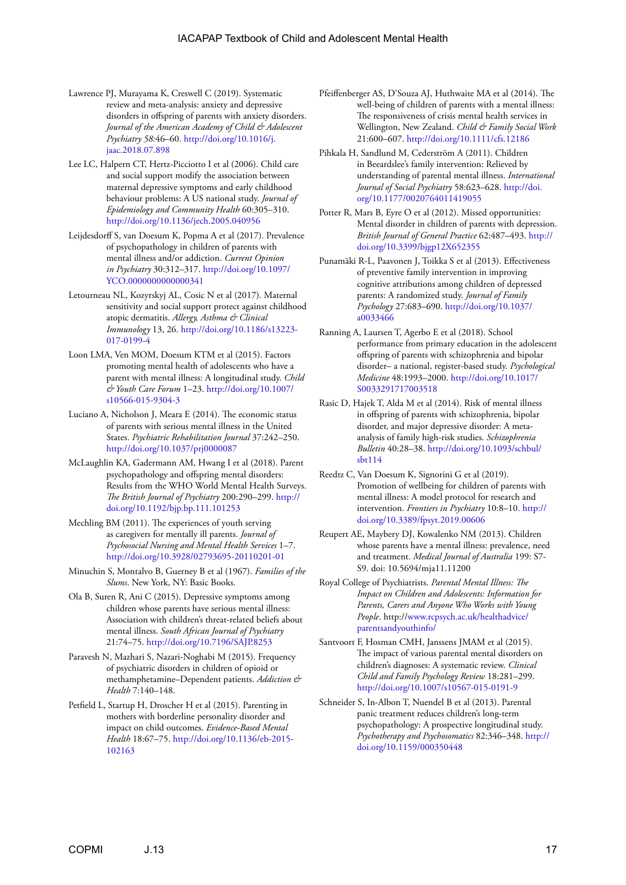- Lawrence PJ, Murayama K, Creswell C (2019). Systematic review and meta-analysis: anxiety and depressive disorders in offspring of parents with anxiety disorders. *Journal of the American Academy of Child & Adolescent Psychiatry 58:*46–60. [http://doi.org/10.1016/j.](http://doi.org/10.1016/j.jaac.2018.07.898) [jaac.2018.07.898](http://doi.org/10.1016/j.jaac.2018.07.898)
- Lee LC, Halpern CT, Hertz-Picciotto I et al (2006). Child care and social support modify the association between maternal depressive symptoms and early childhood behaviour problems: A US national study. *Journal of Epidemiology and Community Health* 60:305–310. <http://doi.org/10.1136/jech.2005.040956>
- Leijdesdorff S, van Doesum K, Popma A et al (2017). Prevalence of psychopathology in children of parents with mental illness and/or addiction. *Current Opinion in Psychiatry* 30:312–317. [http://doi.org/10.1097/](http://doi.org/10.1097/YCO.0000000000000341) [YCO.0000000000000341](http://doi.org/10.1097/YCO.0000000000000341)
- Letourneau NL, Kozyrskyj AL, Cosic N et al (2017). Maternal sensitivity and social support protect against childhood atopic dermatitis. *Allergy, Asthma & Clinical Immunology* 13, 26. [http://doi.org/10.1186/s13223-](http://doi.org/10.1186/s13223-017-0199-4) [017-0199-4](http://doi.org/10.1186/s13223-017-0199-4)
- Loon LMA, Ven MOM, Doesum KTM et al (2015). Factors promoting mental health of adolescents who have a parent with mental illness: A longitudinal study. *Child & Youth Care Forum* 1–23. [http://doi.org/10.1007/](http://doi.org/10.1007/s10566-015-9304-3) [s10566-015-9304-3](http://doi.org/10.1007/s10566-015-9304-3)
- Luciano A, Nicholson J, Meara E (2014). The economic status of parents with serious mental illness in the United States. *Psychiatric Rehabilitation Journal* 37:242–250. <http://doi.org/10.1037/prj0000087>
- McLaughlin KA, Gadermann AM, Hwang I et al (2018). Parent psychopathology and offspring mental disorders: Results from the WHO World Mental Health Surveys. *The British Journal of Psychiatry* 200:290–299. [http://](http://doi.org/10.1192/bjp.bp.111.101253) [doi.org/10.1192/bjp.bp.111.101253](http://doi.org/10.1192/bjp.bp.111.101253)
- Mechling BM (2011). The experiences of youth serving as caregivers for mentally ill parents. *Journal of Psychosocial Nursing and Mental Health Services* 1–7. <http://doi.org/10.3928/02793695-20110201-01>
- Minuchin S, Montalvo B, Guerney B et al (1967). *Families of the Slums*. New York, NY: Basic Books.
- Ola B, Suren R, Ani C (2015). Depressive symptoms among children whose parents have serious mental illness: Association with children's threat-related beliefs about mental illness. *South African Journal of Psychiatry* 21:74–75.<http://doi.org/10.7196/SAJP.8253>
- Paravesh N, Mazhari S, Nazari-Noghabi M (2015). Frequency of psychiatric disorders in children of opioid or methamphetamine–Dependent patients. *Addiction & Health* 7:140–148.
- Petfield L, Startup H, Droscher H et al (2015). Parenting in mothers with borderline personality disorder and impact on child outcomes. *Evidence-Based Mental Health* 18:67–75. [http://doi.org/10.1136/eb-2015-](http://doi.org/10.1136/eb-2015-102163) [102163](http://doi.org/10.1136/eb-2015-102163)
- Pfeiffenberger AS, D'Souza AJ, Huthwaite MA et al (2014). The well-being of children of parents with a mental illness: The responsiveness of crisis mental health services in Wellington, New Zealand. *Child & Family Social Work* 21:600–607. <http://doi.org/10.1111/cfs.12186>
- Pihkala H, Sandlund M, Cederström A (2011). Children in Beeardslee's family intervention: Relieved by understanding of parental mental illness. *International Journal of Social Psychiatry* 58:623–628. [http://doi.](http://doi.org/10.1177/0020764011419055) [org/10.1177/0020764011419055](http://doi.org/10.1177/0020764011419055)
- Potter R, Mars B, Eyre O et al (2012). Missed opportunities: Mental disorder in children of parents with depression. *British Journal of General Practice* 62:487–493. [http://](http://doi.org/10.3399/bjgp12X652355) [doi.org/10.3399/bjgp12X652355](http://doi.org/10.3399/bjgp12X652355)
- Punamäki R-L, Paavonen J, Toikka S et al (2013). Effectiveness of preventive family intervention in improving cognitive attributions among children of depressed parents: A randomized study. *Journal of Family Psychology* 27:683–690. [http://doi.org/10.1037/](http://doi.org/10.1037/a0033466) [a0033466](http://doi.org/10.1037/a0033466)
- Ranning A, Laursen T, Agerbo E et al (2018). School performance from primary education in the adolescent offspring of parents with schizophrenia and bipolar disorder– a national, register-based study. *Psychological Medicine* 48:1993–2000. [http://doi.org/10.1017/](http://doi.org/10.1017/S0033291717003518) [S0033291717003518](http://doi.org/10.1017/S0033291717003518)
- Rasic D, Hajek T, Alda M et al (2014). Risk of mental illness in offspring of parents with schizophrenia, bipolar disorder, and major depressive disorder: A metaanalysis of family high-risk studies. *Schizophrenia Bulletin* 40:28–38. [http://doi.org/10.1093/schbul/](http://doi.org/10.1093/schbul/sbt114) [sbt114](http://doi.org/10.1093/schbul/sbt114)
- Reedtz C, Van Doesum K, Signorini G et al (2019). Promotion of wellbeing for children of parents with mental illness: A model protocol for research and intervention. *Frontiers in Psychiatry* 10:8–10. [http://](http://doi.org/10.3389/fpsyt.2019.00606) [doi.org/10.3389/fpsyt.2019.00606](http://doi.org/10.3389/fpsyt.2019.00606)
- Reupert AE, Maybery DJ, Kowalenko NM (2013). Children whose parents have a mental illness: prevalence, need and treatment. *Medical Journal of Australia* 199: S7- S9. doi: 10.5694/mja11.11200
- Royal College of Psychiatrists. *Parental Mental Illness: The Impact on Children and Adolescents: Information for Parents, Carers and Anyone Who Works with Young People*. http://[www.rcpsych.ac.uk/healthadvice/](http://www.rcpsych.ac.uk/healthadvice/parentsandyouthinfo/) [parentsandyouthinfo/](http://www.rcpsych.ac.uk/healthadvice/parentsandyouthinfo/)
- Santvoort F, Hosman CMH, Janssens JMAM et al (2015). The impact of various parental mental disorders on children's diagnoses: A systematic review. *Clinical Child and Family Psychology Review* 18:281–299. <http://doi.org/10.1007/s10567-015-0191-9>
- Schneider S, In-Albon T, Nuendel B et al (2013). Parental panic treatment reduces children's long-term psychopathology: A prospective longitudinal study. *Psychotherapy and Psychosomatics* 82:346–348. [http://](http://doi.org/10.1159/000350448) [doi.org/10.1159/000350448](http://doi.org/10.1159/000350448)